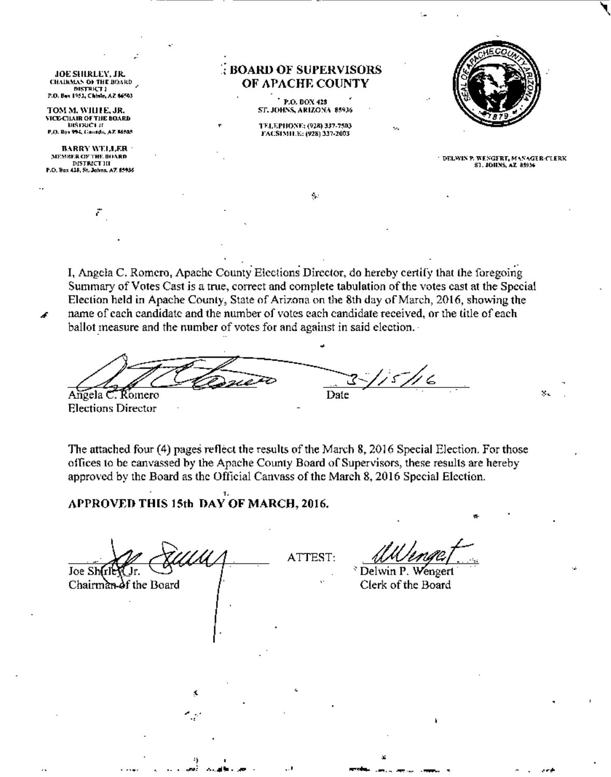JOE SHIRLEY, JR. CHAIRMAN OF THE BOARD *P.O. Box 1951, China, AZ 66503* 

TOM M. WILLE, JR. "Ia>clL\lR OrTJlE '<lARD *'"",,,Co* <sup>H</sup> P.O. Box 994, Canado, AZ 86505

BARRY WELLER MEMBER OF THE BOARD DISTRICT HI P.O. Box 418, St. Johns. AZ. 85936

,-

## $\%$  BOARD OF SUPERVISORS OF APACHF. COUNTY

 $^{\circ}$  P.O. DOX, 428 ST. JOHNS, ARIZONA 85936

TELEPHONE; (928) 337-7503 FAC\$1MILE: (928) 337-2003

Ś.



 $\overline{\mathbf{y}}$ 

DELWIN'R WENGERT, MANAGER-CLERK 81. JOHNS, AZ 89936

×.

I, Angela C. Romero, Apache County' Elections Director, do hereby certify that the foregoing Summary of Votes Cast is a true, correct and complete tabulation of the votes cast at the Special Election held in Apache County, State of Arizona on the 8th day of March, 2016, showing the name of cach candidate and the number of votes each candidate received, or the title of each ballot measure and the number of votes for and against in said election.

Election held in Apache County,<br>name of cach candidate and the ballot measure and the number of<br>ballot measure and the number of<br>Angela C. Romero<br>Elections Director *<u>~</u><br><u>pate</u><br>Date</sub>* Date

Election, Director

The attached four (4) pages reflect the results of the March 8, 2016 Special Election. For those offices to be canvassed by the Apache County Board of Supervisors, these results are hereby approved by the Board as the Official Canvass of the March 8, 2016 Special Election.

,

-

# APPROVED THIS 15th DAY OF MARCH, 2016,

Joe Sh**f**rll Chairman of the Board

" -, *<sup>h</sup> •.•••••..••*

ATTEST: *<u><i>llWinget*</u>  $^{\circ}$  Delwin P.

Clerk of the Board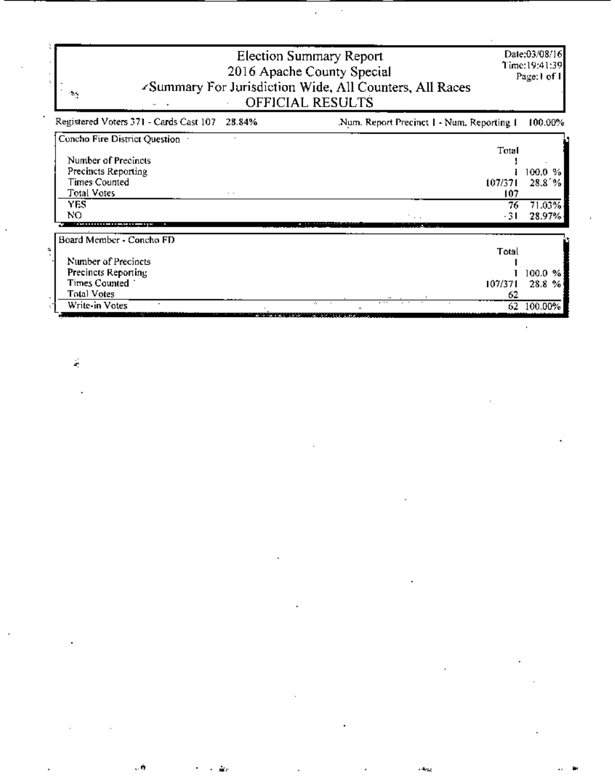| $\mathcal{C}_{\mathcal{C}}$                                                                                                            | Election Summary Report<br>2016 Apache County Special<br>-Summary For Jurisdiction Wide, All Counters, All Races<br>OFFICIAL RESULTS | Date:03/08/16<br>Time:19:41:39<br>Page; 1 of 1 |  |  |
|----------------------------------------------------------------------------------------------------------------------------------------|--------------------------------------------------------------------------------------------------------------------------------------|------------------------------------------------|--|--|
| Registered Voters 371 - Cards Cast 107<br>28.84%                                                                                       | Num. Report Precinct 1 - Num. Reporting 1                                                                                            | 100.00%                                        |  |  |
| Concho Fire District Question<br>Number of Precincts<br>Precincts Reporting<br><b>Times Counted</b><br>Total Votes<br><b>YES</b><br>NO | Total<br>107/371<br>107<br>76<br>-31                                                                                                 | 100.0 %<br>28.8 %<br>71.03%<br>28.97%          |  |  |
| Board Member - Concho FD<br>Number of Precincts<br>Precincts Reporting<br><b>Times Counted</b><br><b>Total Votes</b><br>Write-in Votes | Total<br>107/371<br>62<br>$\mathcal{L}$                                                                                              | 100.0 %<br>28.8 %<br>62 100.00%                |  |  |

 $\mathcal{A} = \mathcal{A} \mathcal{A}$  and  $\mathcal{A} = \mathcal{A} \mathcal{A}$  and  $\mathcal{A} = \mathcal{A} \mathcal{A}$  . The contract of  $\mathcal{A}$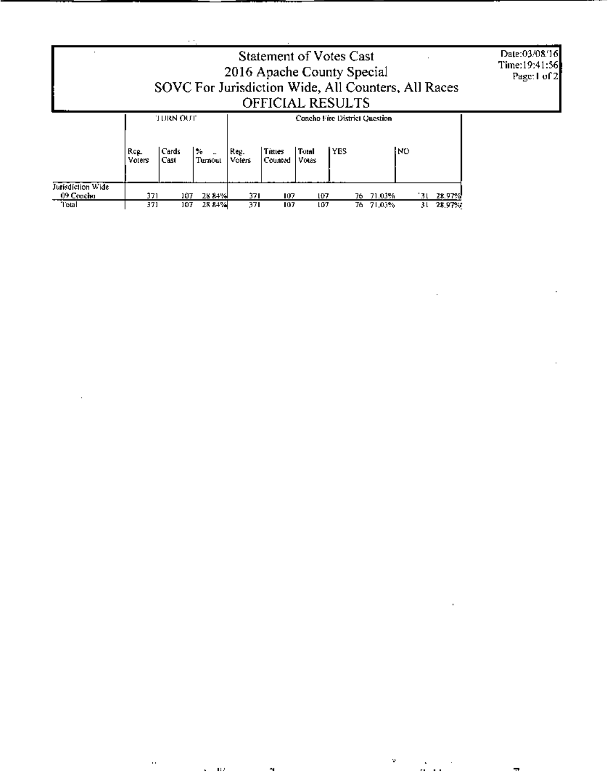|                                |                | $\cdot$ .<br>SOVC For Jurisdiction Wide, All Counters, All Races |                |                               |                  | Statement of Votes Cast<br>2016 Apache County Special<br>OFFICIAL RESULTS |       |  |           |      |    |            |  | Date:03/08/16<br>Time:19:41:56<br>Page: 1 of 2 |  |
|--------------------------------|----------------|------------------------------------------------------------------|----------------|-------------------------------|------------------|---------------------------------------------------------------------------|-------|--|-----------|------|----|------------|--|------------------------------------------------|--|
|                                |                | <b>TURN OUT</b>                                                  |                | Concho Fire District Question |                  |                                                                           |       |  |           |      |    |            |  |                                                |  |
|                                | Reg.<br>Voters | l Cards<br>Cast                                                  | l ‰<br>Turnoul | Reg.<br>Voters                | Times<br>Counted | Total<br>Votes                                                            | i yes |  |           | INO. |    |            |  |                                                |  |
| Jurisdiction Wide<br>09 Concho | 371            | 107.                                                             | 28.84%         | 371                           | 107              | LU7                                                                       |       |  | 76 71.03% |      |    | 131 28.97% |  |                                                |  |
| 1oul                           | 371            | 107                                                              | 28 84%         | 371                           | 107              | 107                                                                       |       |  | 76 71,03% |      | 31 | 28.97%     |  |                                                |  |

 $\mathcal{L}^{\mathcal{L}}(\mathcal{L}^{\mathcal{L}})$  and the contract of the contract of the contract of the contract of the contract of the contract of the contract of the contract of the contract of the contract of the contract of the contrac

 $\label{eq:2.1} \mathcal{L}(\mathcal{L}(\mathcal{L})) = \mathcal{L}(\mathcal{L}(\mathcal{L})) = \mathcal{L}(\mathcal{L}(\mathcal{L})) = \mathcal{L}(\mathcal{L}(\mathcal{L})) = \mathcal{L}(\mathcal{L}(\mathcal{L}))$ 

 $\label{eq:2.1} \mathcal{L}(\mathcal{L}^{\mathcal{L}}_{\mathcal{L}}(\mathcal{L}^{\mathcal{L}}_{\mathcal{L}})) = \mathcal{L}(\mathcal{L}^{\mathcal{L}}_{\mathcal{L}}(\mathcal{L}^{\mathcal{L}}_{\mathcal{L}})) = \mathcal{L}(\mathcal{L}^{\mathcal{L}}_{\mathcal{L}}(\mathcal{L}^{\mathcal{L}}_{\mathcal{L}}))$ 

 $\label{eq:2.1} \frac{1}{\sqrt{2}}\int_{\mathbb{R}^3}\frac{1}{\sqrt{2}}\left(\frac{1}{\sqrt{2}}\right)^2\frac{1}{\sqrt{2}}\left(\frac{1}{\sqrt{2}}\right)^2\frac{1}{\sqrt{2}}\left(\frac{1}{\sqrt{2}}\right)^2\frac{1}{\sqrt{2}}\left(\frac{1}{\sqrt{2}}\right)^2.$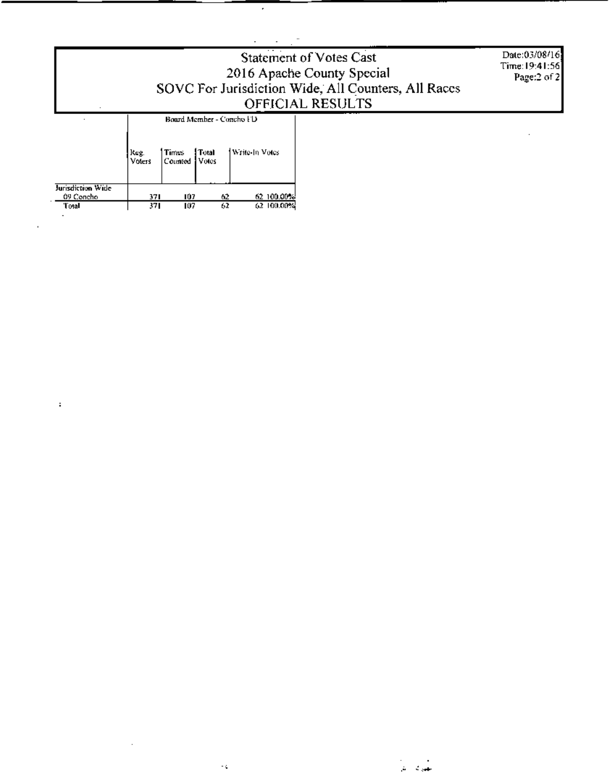|                                | SOVC For Jurisdiction Wide, All Counters, All Races | Date:03/08/16.<br>Time: 19:41:56<br>Page:2 of 2 |                                            |                                |  |  |
|--------------------------------|-----------------------------------------------------|-------------------------------------------------|--------------------------------------------|--------------------------------|--|--|
|                                | keg.<br>Voters                                      | Times<br>Counted                                | Board Member - Concho FD<br>Total<br>Votes | Write-In Votes                 |  |  |
| Jurisdiction Wide<br>09 Concho | 371                                                 | 107                                             | 62.                                        | 62 100.00%<br>62 100.00%<br>62 |  |  |

 $\mathcal{L}_{\mathcal{A}}$ 

 $\mathcal{L}^{\text{max}}_{\text{max}}$  and  $\mathcal{L}^{\text{max}}_{\text{max}}$ 

 $\mathcal{L}(\mathbf{q})$  and  $\mathcal{L}(\mathbf{q})$